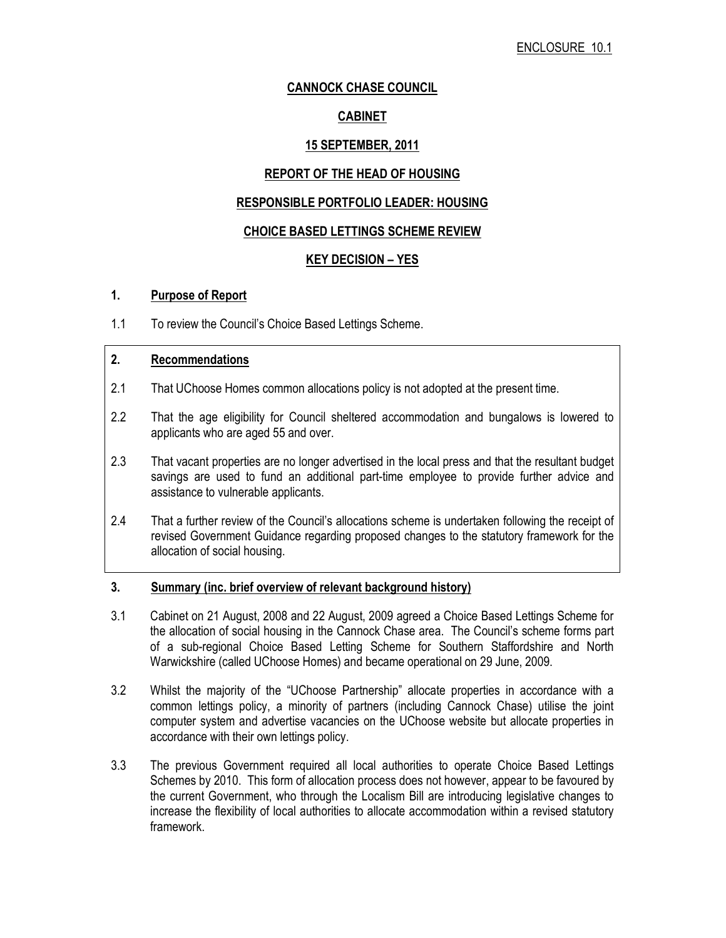# CANNOCK CHASE COUNCIL

# CABINET

# 15 SEPTEMBER, 2011

# REPORT OF THE HEAD OF HOUSING

# RESPONSIBLE PORTFOLIO LEADER: HOUSING

## CHOICE BASED LETTINGS SCHEME REVIEW

# KEY DECISION – YES

#### 1. Purpose of Report

1.1 To review the Council's Choice Based Lettings Scheme.

# 2. Recommendations

- 2.1 That UChoose Homes common allocations policy is not adopted at the present time.
- 2.2 That the age eligibility for Council sheltered accommodation and bungalows is lowered to applicants who are aged 55 and over.
- 2.3 That vacant properties are no longer advertised in the local press and that the resultant budget savings are used to fund an additional part-time employee to provide further advice and assistance to vulnerable applicants.
- 2.4 That a further review of the Council's allocations scheme is undertaken following the receipt of revised Government Guidance regarding proposed changes to the statutory framework for the allocation of social housing.

#### 3. Summary (inc. brief overview of relevant background history)

- 3.1 Cabinet on 21 August, 2008 and 22 August, 2009 agreed a Choice Based Lettings Scheme for the allocation of social housing in the Cannock Chase area. The Council's scheme forms part of a sub-regional Choice Based Letting Scheme for Southern Staffordshire and North Warwickshire (called UChoose Homes) and became operational on 29 June, 2009.
- 3.2 Whilst the majority of the "UChoose Partnership" allocate properties in accordance with a common lettings policy, a minority of partners (including Cannock Chase) utilise the joint computer system and advertise vacancies on the UChoose website but allocate properties in accordance with their own lettings policy.
- 3.3 The previous Government required all local authorities to operate Choice Based Lettings Schemes by 2010. This form of allocation process does not however, appear to be favoured by the current Government, who through the Localism Bill are introducing legislative changes to increase the flexibility of local authorities to allocate accommodation within a revised statutory framework.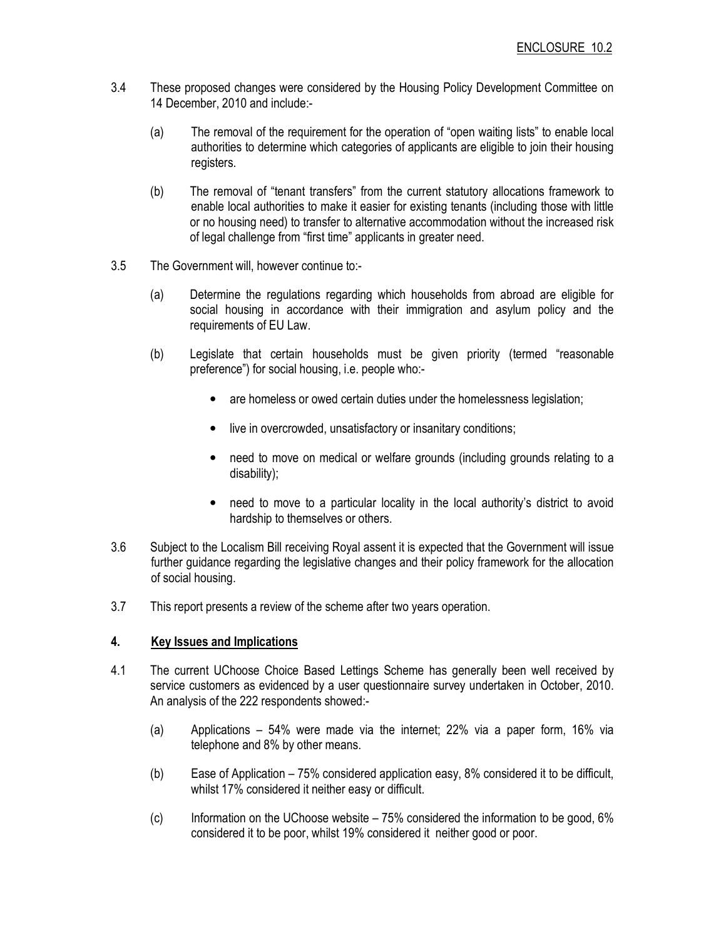- 3.4 These proposed changes were considered by the Housing Policy Development Committee on 14 December, 2010 and include:-
	- (a) The removal of the requirement for the operation of "open waiting lists" to enable local authorities to determine which categories of applicants are eligible to join their housing registers.
	- (b) The removal of "tenant transfers" from the current statutory allocations framework to enable local authorities to make it easier for existing tenants (including those with little or no housing need) to transfer to alternative accommodation without the increased risk of legal challenge from "first time" applicants in greater need.
- 3.5 The Government will, however continue to:-
	- (a) Determine the regulations regarding which households from abroad are eligible for social housing in accordance with their immigration and asylum policy and the requirements of EU Law.
	- (b) Legislate that certain households must be given priority (termed "reasonable preference") for social housing, i.e. people who:-
		- are homeless or owed certain duties under the homelessness legislation;
		- live in overcrowded, unsatisfactory or insanitary conditions;
		- need to move on medical or welfare grounds (including grounds relating to a disability);
		- need to move to a particular locality in the local authority's district to avoid hardship to themselves or others.
- 3.6 Subject to the Localism Bill receiving Royal assent it is expected that the Government will issue further guidance regarding the legislative changes and their policy framework for the allocation of social housing.
- 3.7 This report presents a review of the scheme after two years operation.

## 4. Key Issues and Implications

- 4.1 The current UChoose Choice Based Lettings Scheme has generally been well received by service customers as evidenced by a user questionnaire survey undertaken in October, 2010. An analysis of the 222 respondents showed:-
	- (a) Applications 54% were made via the internet; 22% via a paper form, 16% via telephone and 8% by other means.
	- (b) Ease of Application 75% considered application easy, 8% considered it to be difficult, whilst 17% considered it neither easy or difficult.
	- (c) Information on the UChoose website 75% considered the information to be good, 6% considered it to be poor, whilst 19% considered it neither good or poor.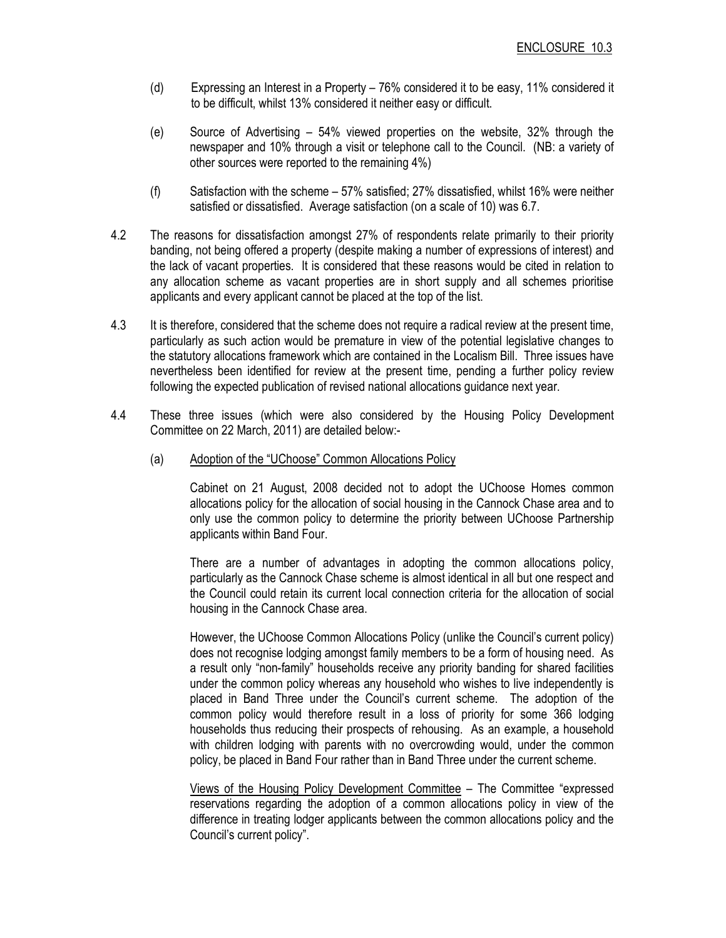- (d) Expressing an Interest in a Property 76% considered it to be easy, 11% considered it to be difficult, whilst 13% considered it neither easy or difficult.
- (e) Source of Advertising 54% viewed properties on the website, 32% through the newspaper and 10% through a visit or telephone call to the Council. (NB: a variety of other sources were reported to the remaining 4%)
- (f) Satisfaction with the scheme 57% satisfied; 27% dissatisfied, whilst 16% were neither satisfied or dissatisfied. Average satisfaction (on a scale of 10) was 6.7.
- 4.2 The reasons for dissatisfaction amongst 27% of respondents relate primarily to their priority banding, not being offered a property (despite making a number of expressions of interest) and the lack of vacant properties. It is considered that these reasons would be cited in relation to any allocation scheme as vacant properties are in short supply and all schemes prioritise applicants and every applicant cannot be placed at the top of the list.
- 4.3 It is therefore, considered that the scheme does not require a radical review at the present time, particularly as such action would be premature in view of the potential legislative changes to the statutory allocations framework which are contained in the Localism Bill. Three issues have nevertheless been identified for review at the present time, pending a further policy review following the expected publication of revised national allocations guidance next year.
- 4.4 These three issues (which were also considered by the Housing Policy Development Committee on 22 March, 2011) are detailed below:-
	- (a) Adoption of the "UChoose" Common Allocations Policy

 Cabinet on 21 August, 2008 decided not to adopt the UChoose Homes common allocations policy for the allocation of social housing in the Cannock Chase area and to only use the common policy to determine the priority between UChoose Partnership applicants within Band Four.

 There are a number of advantages in adopting the common allocations policy, particularly as the Cannock Chase scheme is almost identical in all but one respect and the Council could retain its current local connection criteria for the allocation of social housing in the Cannock Chase area.

 However, the UChoose Common Allocations Policy (unlike the Council's current policy) does not recognise lodging amongst family members to be a form of housing need. As a result only "non-family" households receive any priority banding for shared facilities under the common policy whereas any household who wishes to live independently is placed in Band Three under the Council's current scheme. The adoption of the common policy would therefore result in a loss of priority for some 366 lodging households thus reducing their prospects of rehousing. As an example, a household with children lodging with parents with no overcrowding would, under the common policy, be placed in Band Four rather than in Band Three under the current scheme.

 Views of the Housing Policy Development Committee – The Committee "expressed reservations regarding the adoption of a common allocations policy in view of the difference in treating lodger applicants between the common allocations policy and the Council's current policy".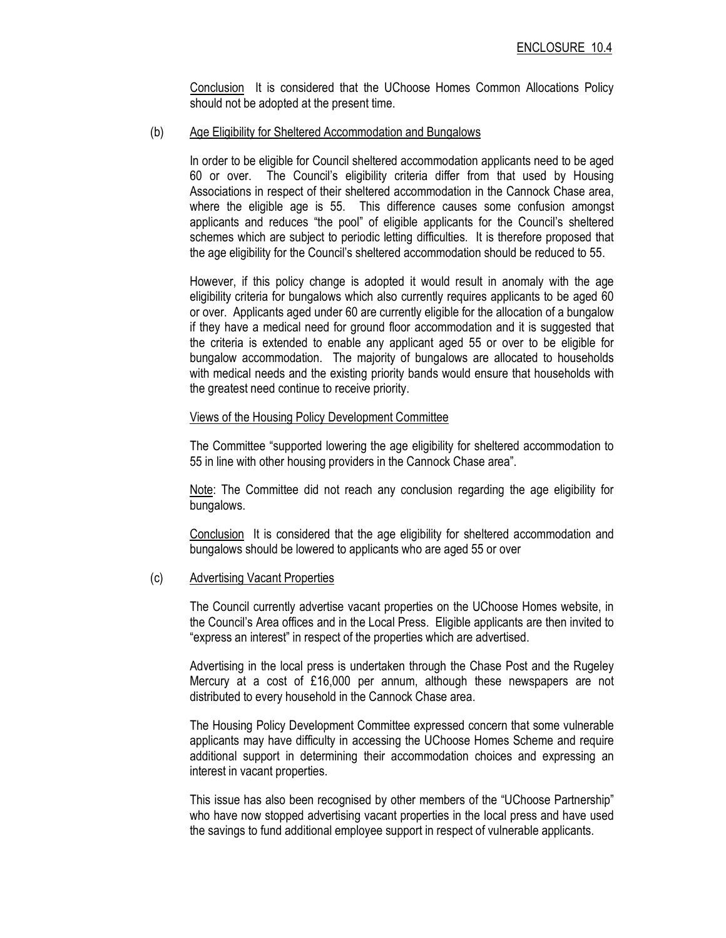Conclusion It is considered that the UChoose Homes Common Allocations Policy should not be adopted at the present time.

#### (b) Age Eligibility for Sheltered Accommodation and Bungalows

In order to be eligible for Council sheltered accommodation applicants need to be aged 60 or over. The Council's eligibility criteria differ from that used by Housing Associations in respect of their sheltered accommodation in the Cannock Chase area, where the eligible age is 55. This difference causes some confusion amongst applicants and reduces "the pool" of eligible applicants for the Council's sheltered schemes which are subject to periodic letting difficulties. It is therefore proposed that the age eligibility for the Council's sheltered accommodation should be reduced to 55.

However, if this policy change is adopted it would result in anomaly with the age eligibility criteria for bungalows which also currently requires applicants to be aged 60 or over. Applicants aged under 60 are currently eligible for the allocation of a bungalow if they have a medical need for ground floor accommodation and it is suggested that the criteria is extended to enable any applicant aged 55 or over to be eligible for bungalow accommodation. The majority of bungalows are allocated to households with medical needs and the existing priority bands would ensure that households with the greatest need continue to receive priority.

#### Views of the Housing Policy Development Committee

The Committee "supported lowering the age eligibility for sheltered accommodation to 55 in line with other housing providers in the Cannock Chase area".

Note: The Committee did not reach any conclusion regarding the age eligibility for bungalows.

Conclusion It is considered that the age eligibility for sheltered accommodation and bungalows should be lowered to applicants who are aged 55 or over

#### (c) Advertising Vacant Properties

The Council currently advertise vacant properties on the UChoose Homes website, in the Council's Area offices and in the Local Press. Eligible applicants are then invited to "express an interest" in respect of the properties which are advertised.

Advertising in the local press is undertaken through the Chase Post and the Rugeley Mercury at a cost of £16,000 per annum, although these newspapers are not distributed to every household in the Cannock Chase area.

The Housing Policy Development Committee expressed concern that some vulnerable applicants may have difficulty in accessing the UChoose Homes Scheme and require additional support in determining their accommodation choices and expressing an interest in vacant properties.

This issue has also been recognised by other members of the "UChoose Partnership" who have now stopped advertising vacant properties in the local press and have used the savings to fund additional employee support in respect of vulnerable applicants.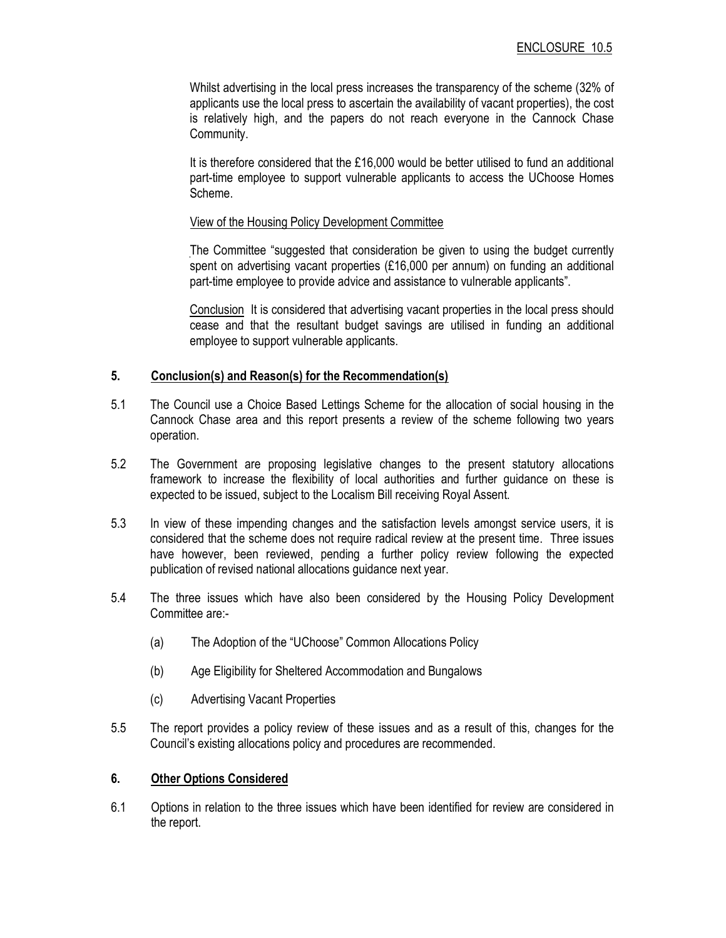Whilst advertising in the local press increases the transparency of the scheme (32% of applicants use the local press to ascertain the availability of vacant properties), the cost is relatively high, and the papers do not reach everyone in the Cannock Chase Community.

It is therefore considered that the £16,000 would be better utilised to fund an additional part-time employee to support vulnerable applicants to access the UChoose Homes Scheme.

#### View of the Housing Policy Development Committee

The Committee "suggested that consideration be given to using the budget currently spent on advertising vacant properties (£16,000 per annum) on funding an additional part-time employee to provide advice and assistance to vulnerable applicants".

Conclusion It is considered that advertising vacant properties in the local press should cease and that the resultant budget savings are utilised in funding an additional employee to support vulnerable applicants.

#### 5. Conclusion(s) and Reason(s) for the Recommendation(s)

- 5.1 The Council use a Choice Based Lettings Scheme for the allocation of social housing in the Cannock Chase area and this report presents a review of the scheme following two years operation.
- 5.2 The Government are proposing legislative changes to the present statutory allocations framework to increase the flexibility of local authorities and further guidance on these is expected to be issued, subject to the Localism Bill receiving Royal Assent.
- 5.3 In view of these impending changes and the satisfaction levels amongst service users, it is considered that the scheme does not require radical review at the present time. Three issues have however, been reviewed, pending a further policy review following the expected publication of revised national allocations guidance next year.
- 5.4 The three issues which have also been considered by the Housing Policy Development Committee are:-
	- (a) The Adoption of the "UChoose" Common Allocations Policy
	- (b) Age Eligibility for Sheltered Accommodation and Bungalows
	- (c) Advertising Vacant Properties
- 5.5 The report provides a policy review of these issues and as a result of this, changes for the Council's existing allocations policy and procedures are recommended.

## 6. Other Options Considered

6.1 Options in relation to the three issues which have been identified for review are considered in the report.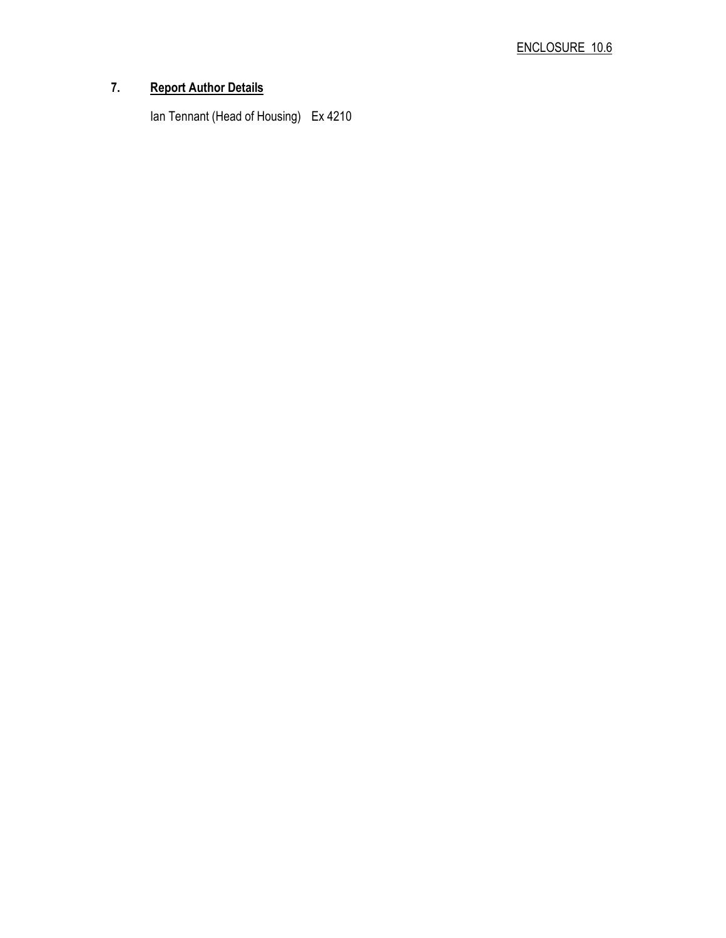# 7. Report Author Details

Ian Tennant (Head of Housing) Ex 4210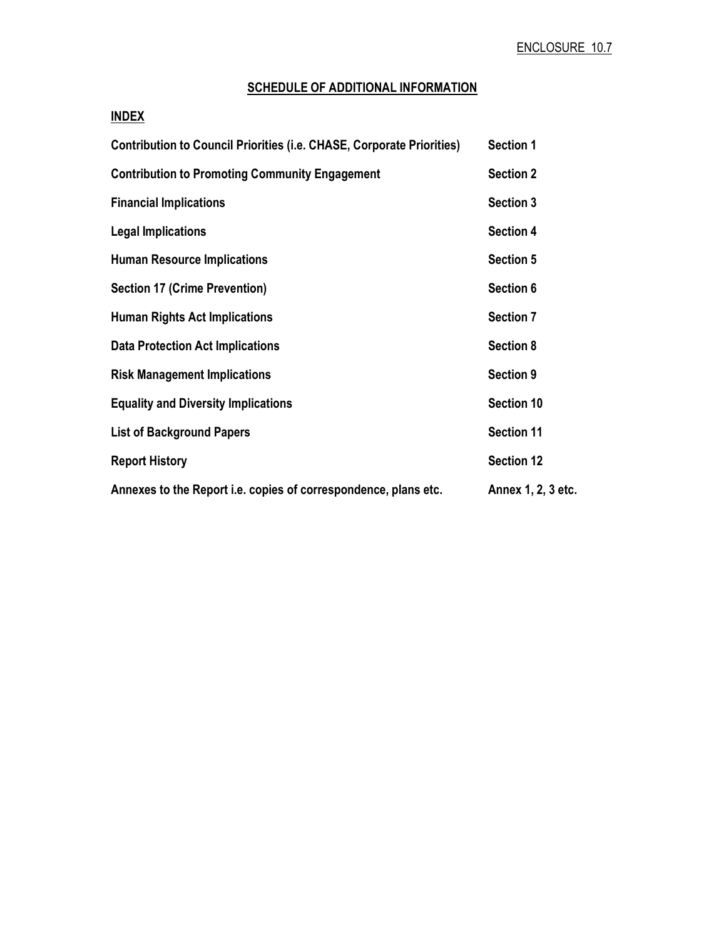# SCHEDULE OF ADDITIONAL INFORMATION

# INDEX

| <b>Contribution to Council Priorities (i.e. CHASE, Corporate Priorities)</b> | <b>Section 1</b>   |
|------------------------------------------------------------------------------|--------------------|
| <b>Contribution to Promoting Community Engagement</b>                        | <b>Section 2</b>   |
| <b>Financial Implications</b>                                                | <b>Section 3</b>   |
| <b>Legal Implications</b>                                                    | <b>Section 4</b>   |
| <b>Human Resource Implications</b>                                           | <b>Section 5</b>   |
| <b>Section 17 (Crime Prevention)</b>                                         | Section 6          |
| <b>Human Rights Act Implications</b>                                         | <b>Section 7</b>   |
| <b>Data Protection Act Implications</b>                                      | <b>Section 8</b>   |
| <b>Risk Management Implications</b>                                          | <b>Section 9</b>   |
| <b>Equality and Diversity Implications</b>                                   | Section 10         |
| <b>List of Background Papers</b>                                             | <b>Section 11</b>  |
| <b>Report History</b>                                                        | <b>Section 12</b>  |
| Annexes to the Report i.e. copies of correspondence, plans etc.              | Annex 1, 2, 3 etc. |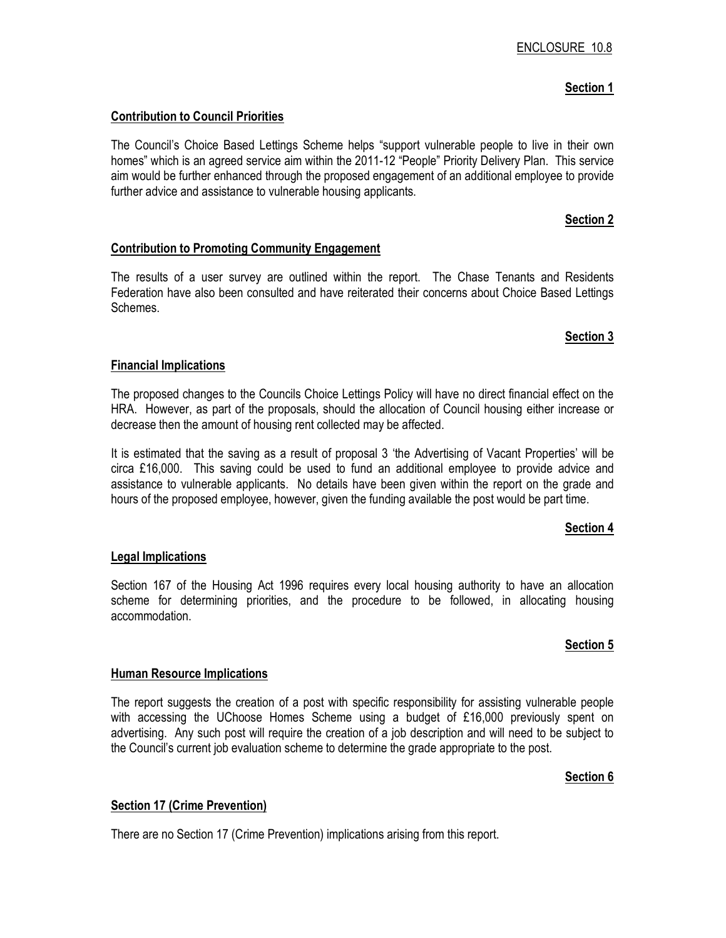# Section 1

#### Contribution to Council Priorities

The Council's Choice Based Lettings Scheme helps "support vulnerable people to live in their own homes" which is an agreed service aim within the 2011-12 "People" Priority Delivery Plan. This service aim would be further enhanced through the proposed engagement of an additional employee to provide further advice and assistance to vulnerable housing applicants.

#### Section 2

#### Contribution to Promoting Community Engagement

The results of a user survey are outlined within the report. The Chase Tenants and Residents Federation have also been consulted and have reiterated their concerns about Choice Based Lettings Schemes.

#### Section 3

#### Financial Implications

The proposed changes to the Councils Choice Lettings Policy will have no direct financial effect on the HRA. However, as part of the proposals, should the allocation of Council housing either increase or decrease then the amount of housing rent collected may be affected.

It is estimated that the saving as a result of proposal 3 'the Advertising of Vacant Properties' will be circa £16,000. This saving could be used to fund an additional employee to provide advice and assistance to vulnerable applicants. No details have been given within the report on the grade and hours of the proposed employee, however, given the funding available the post would be part time.

## Section 4

## Legal Implications

Section 167 of the Housing Act 1996 requires every local housing authority to have an allocation scheme for determining priorities, and the procedure to be followed, in allocating housing accommodation.

## Section 5

#### Human Resource Implications

The report suggests the creation of a post with specific responsibility for assisting vulnerable people with accessing the UChoose Homes Scheme using a budget of £16,000 previously spent on advertising. Any such post will require the creation of a job description and will need to be subject to the Council's current job evaluation scheme to determine the grade appropriate to the post.

#### Section 6

## Section 17 (Crime Prevention)

There are no Section 17 (Crime Prevention) implications arising from this report.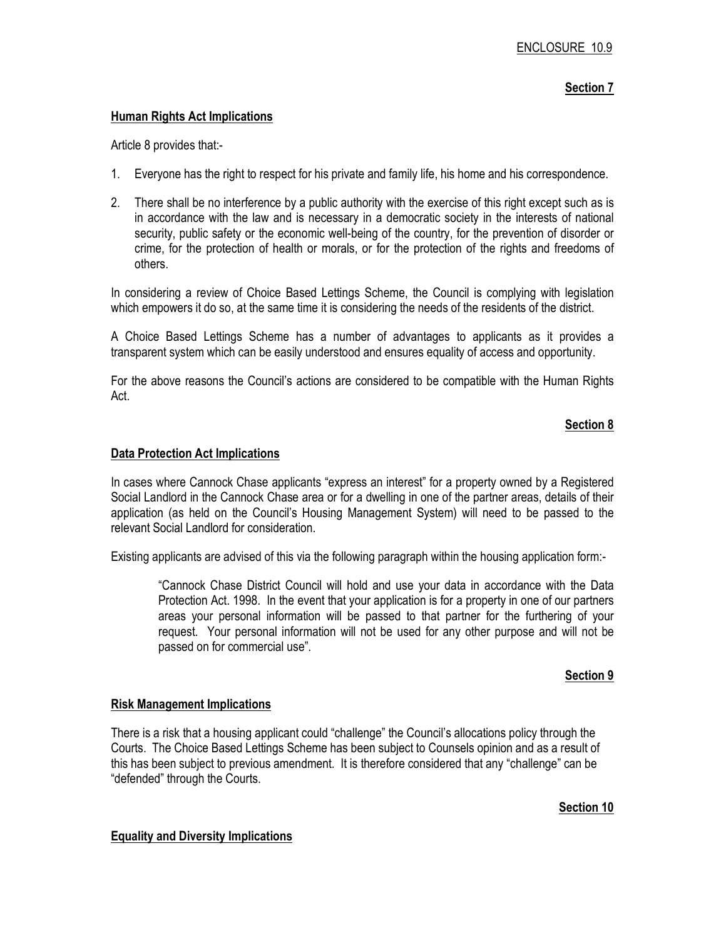## Section 7

#### Human Rights Act Implications

Article 8 provides that:-

- 1. Everyone has the right to respect for his private and family life, his home and his correspondence.
- 2. There shall be no interference by a public authority with the exercise of this right except such as is in accordance with the law and is necessary in a democratic society in the interests of national security, public safety or the economic well-being of the country, for the prevention of disorder or crime, for the protection of health or morals, or for the protection of the rights and freedoms of others.

In considering a review of Choice Based Lettings Scheme, the Council is complying with legislation which empowers it do so, at the same time it is considering the needs of the residents of the district.

A Choice Based Lettings Scheme has a number of advantages to applicants as it provides a transparent system which can be easily understood and ensures equality of access and opportunity.

For the above reasons the Council's actions are considered to be compatible with the Human Rights Act.

## Section 8

#### Data Protection Act Implications

In cases where Cannock Chase applicants "express an interest" for a property owned by a Registered Social Landlord in the Cannock Chase area or for a dwelling in one of the partner areas, details of their application (as held on the Council's Housing Management System) will need to be passed to the relevant Social Landlord for consideration.

Existing applicants are advised of this via the following paragraph within the housing application form:-

 "Cannock Chase District Council will hold and use your data in accordance with the Data Protection Act. 1998. In the event that your application is for a property in one of our partners areas your personal information will be passed to that partner for the furthering of your request. Your personal information will not be used for any other purpose and will not be passed on for commercial use".

## Section 9

#### Risk Management Implications

There is a risk that a housing applicant could "challenge" the Council's allocations policy through the Courts. The Choice Based Lettings Scheme has been subject to Counsels opinion and as a result of this has been subject to previous amendment. It is therefore considered that any "challenge" can be "defended" through the Courts.

## Section 10

#### Equality and Diversity Implications